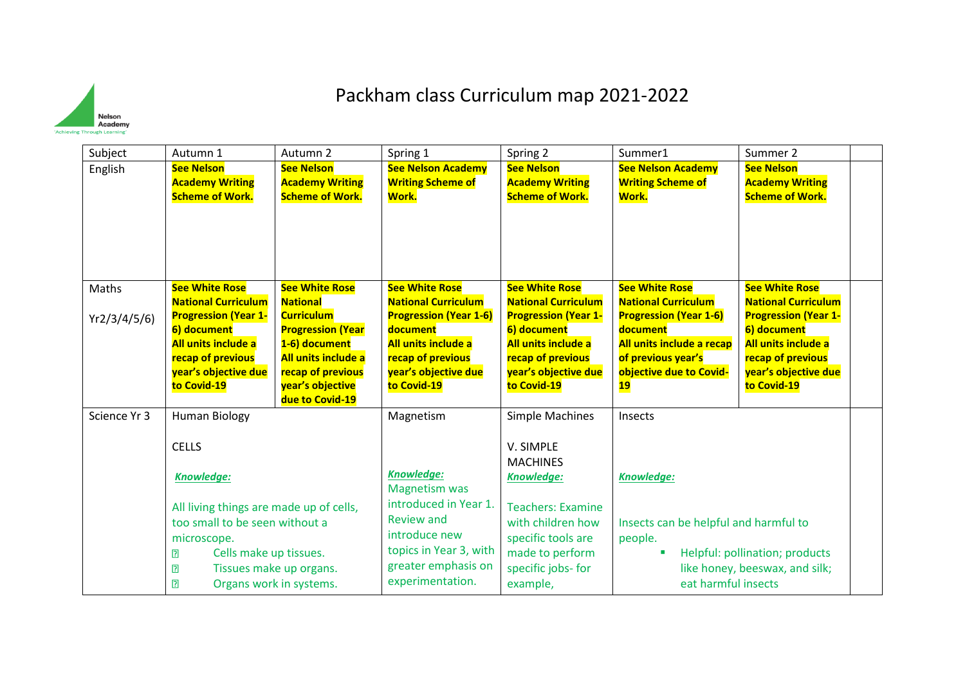

## Packham class Curriculum map 2021-2022

| Subject      | Autumn 1                                                                                                                      | Autumn 2                                                                                                                                          | Spring 1                                                                                                                     | Spring 2                                                                                                                      | Summer1                                                                                                                       | Summer 2                                                                                                                      |  |
|--------------|-------------------------------------------------------------------------------------------------------------------------------|---------------------------------------------------------------------------------------------------------------------------------------------------|------------------------------------------------------------------------------------------------------------------------------|-------------------------------------------------------------------------------------------------------------------------------|-------------------------------------------------------------------------------------------------------------------------------|-------------------------------------------------------------------------------------------------------------------------------|--|
| English      | <b>See Nelson</b><br><b>Academy Writing</b>                                                                                   | <b>See Nelson</b><br><b>Academy Writing</b>                                                                                                       | <b>See Nelson Academy</b><br><b>Writing Scheme of</b>                                                                        | <b>See Nelson</b><br><b>Academy Writing</b>                                                                                   | <b>See Nelson Academy</b><br><b>Writing Scheme of</b>                                                                         | <b>See Nelson</b><br><b>Academy Writing</b>                                                                                   |  |
|              | <b>Scheme of Work.</b>                                                                                                        | <b>Scheme of Work.</b>                                                                                                                            | Work.                                                                                                                        | <b>Scheme of Work.</b>                                                                                                        | Work.                                                                                                                         | <b>Scheme of Work.</b>                                                                                                        |  |
| Maths        | <b>See White Rose</b><br><b>National Curriculum</b>                                                                           | <b>See White Rose</b><br><b>National</b>                                                                                                          | <b>See White Rose</b><br><b>National Curriculum</b>                                                                          | <b>See White Rose</b><br><b>National Curriculum</b>                                                                           | <b>See White Rose</b><br><b>National Curriculum</b>                                                                           | <b>See White Rose</b><br><b>National Curriculum</b>                                                                           |  |
| Yr2/3/4/5/6  | <b>Progression (Year 1-</b><br>6) document<br>All units include a<br>recap of previous<br>year's objective due<br>to Covid-19 | <b>Curriculum</b><br><b>Progression (Year</b><br>1-6) document<br>All units include a<br>recap of previous<br>year's objective<br>due to Covid-19 | <b>Progression (Year 1-6)</b><br>document<br>All units include a<br>recap of previous<br>year's objective due<br>to Covid-19 | <b>Progression (Year 1-</b><br>6) document<br>All units include a<br>recap of previous<br>year's objective due<br>to Covid-19 | <b>Progression (Year 1-6)</b><br>document<br>All units include a recap<br>of previous year's<br>objective due to Covid-<br>19 | <b>Progression (Year 1-</b><br>6) document<br>All units include a<br>recap of previous<br>year's objective due<br>to Covid-19 |  |
| Science Yr 3 | <b>Human Biology</b>                                                                                                          |                                                                                                                                                   | Magnetism                                                                                                                    | <b>Simple Machines</b>                                                                                                        | Insects                                                                                                                       |                                                                                                                               |  |
|              | <b>CELLS</b>                                                                                                                  |                                                                                                                                                   |                                                                                                                              | V. SIMPLE<br><b>MACHINES</b>                                                                                                  |                                                                                                                               |                                                                                                                               |  |
|              | <b>Knowledge:</b>                                                                                                             |                                                                                                                                                   | <b>Knowledge:</b><br><b>Magnetism was</b>                                                                                    | Knowledge:                                                                                                                    | <b>Knowledge:</b>                                                                                                             |                                                                                                                               |  |
|              | All living things are made up of cells,                                                                                       |                                                                                                                                                   | introduced in Year 1.                                                                                                        | <b>Teachers: Examine</b>                                                                                                      |                                                                                                                               |                                                                                                                               |  |
|              | too small to be seen without a                                                                                                |                                                                                                                                                   | Review and<br>introduce new                                                                                                  | with children how                                                                                                             | Insects can be helpful and harmful to                                                                                         |                                                                                                                               |  |
|              | microscope.<br>?<br>Cells make up tissues.                                                                                    |                                                                                                                                                   | topics in Year 3, with                                                                                                       | specific tools are<br>made to perform                                                                                         | people.                                                                                                                       | Helpful: pollination; products                                                                                                |  |
|              | ⊡                                                                                                                             | Tissues make up organs.                                                                                                                           | greater emphasis on                                                                                                          | specific jobs- for                                                                                                            |                                                                                                                               | like honey, beeswax, and silk;                                                                                                |  |
|              | $\overline{2}$                                                                                                                | Organs work in systems.                                                                                                                           | experimentation.                                                                                                             | example,                                                                                                                      | eat harmful insects                                                                                                           |                                                                                                                               |  |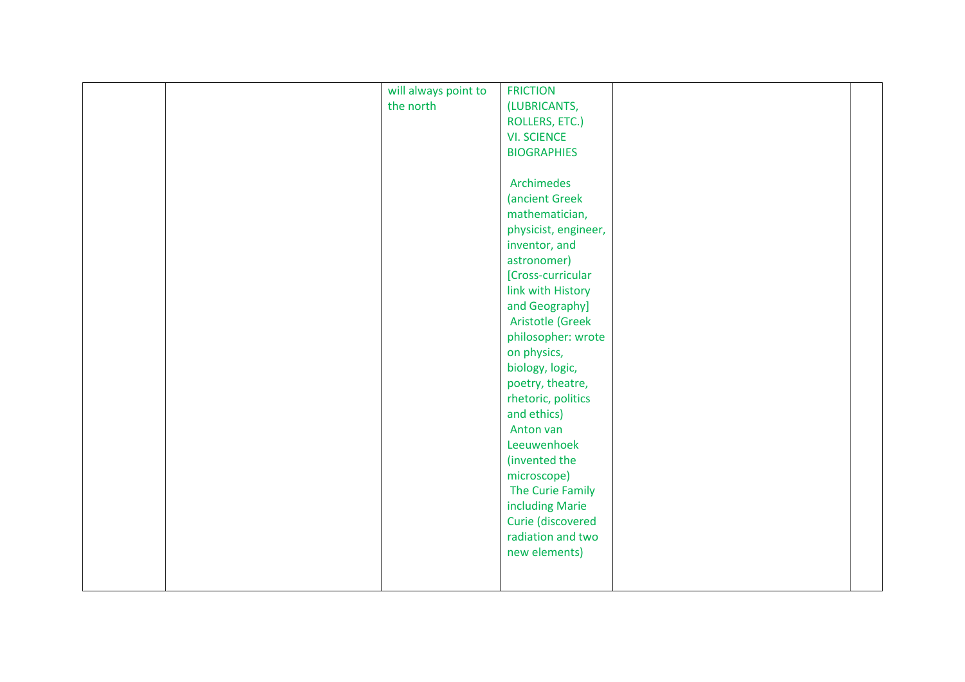|  | will always point to | <b>FRICTION</b>                        |  |
|--|----------------------|----------------------------------------|--|
|  | the north            | (LUBRICANTS,                           |  |
|  |                      | ROLLERS, ETC.)                         |  |
|  |                      | <b>VI. SCIENCE</b>                     |  |
|  |                      | <b>BIOGRAPHIES</b>                     |  |
|  |                      |                                        |  |
|  |                      | Archimedes                             |  |
|  |                      | (ancient Greek                         |  |
|  |                      | mathematician,                         |  |
|  |                      | physicist, engineer,                   |  |
|  |                      | inventor, and                          |  |
|  |                      | astronomer)                            |  |
|  |                      | [Cross-curricular                      |  |
|  |                      | link with History                      |  |
|  |                      | and Geography]                         |  |
|  |                      | Aristotle (Greek                       |  |
|  |                      | philosopher: wrote                     |  |
|  |                      | on physics,                            |  |
|  |                      | biology, logic,                        |  |
|  |                      | poetry, theatre,                       |  |
|  |                      | rhetoric, politics                     |  |
|  |                      | and ethics)                            |  |
|  |                      | Anton van                              |  |
|  |                      | Leeuwenhoek                            |  |
|  |                      | (invented the                          |  |
|  |                      | microscope)                            |  |
|  |                      | The Curie Family                       |  |
|  |                      | including Marie                        |  |
|  |                      |                                        |  |
|  |                      | Curie (discovered<br>radiation and two |  |
|  |                      |                                        |  |
|  |                      | new elements)                          |  |
|  |                      |                                        |  |
|  |                      |                                        |  |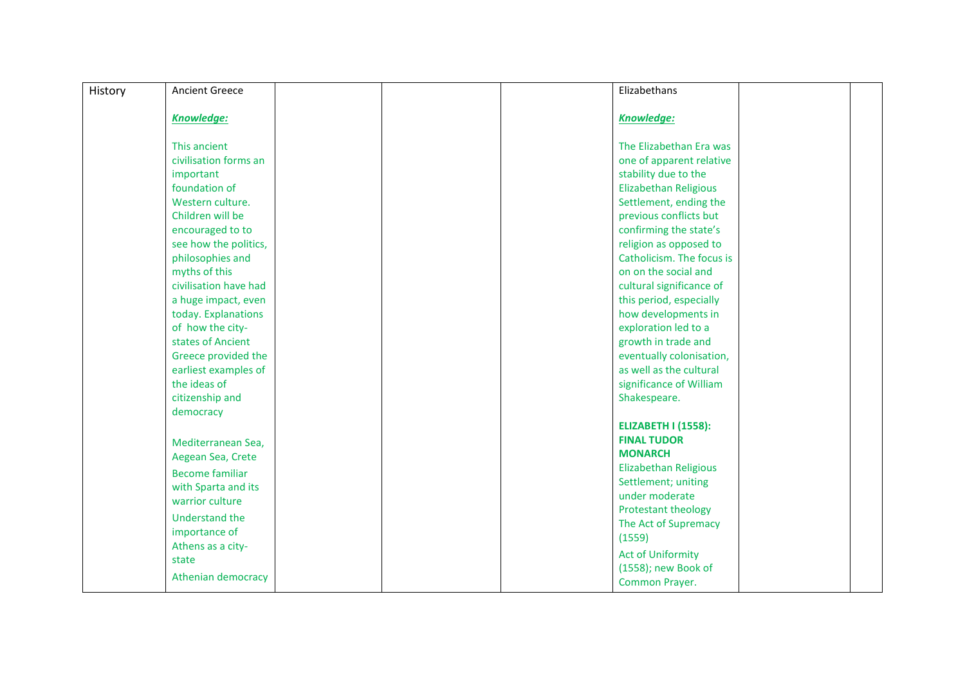| History | <b>Ancient Greece</b>  |  | Elizabethans               |  |
|---------|------------------------|--|----------------------------|--|
|         |                        |  |                            |  |
|         | <b>Knowledge:</b>      |  | Knowledge:                 |  |
|         |                        |  |                            |  |
|         | This ancient           |  | The Elizabethan Era was    |  |
|         | civilisation forms an  |  | one of apparent relative   |  |
|         | important              |  | stability due to the       |  |
|         | foundation of          |  | Elizabethan Religious      |  |
|         | Western culture.       |  | Settlement, ending the     |  |
|         | Children will be       |  | previous conflicts but     |  |
|         | encouraged to to       |  | confirming the state's     |  |
|         | see how the politics,  |  | religion as opposed to     |  |
|         | philosophies and       |  | Catholicism. The focus is  |  |
|         | myths of this          |  | on on the social and       |  |
|         | civilisation have had  |  | cultural significance of   |  |
|         | a huge impact, even    |  | this period, especially    |  |
|         | today. Explanations    |  | how developments in        |  |
|         | of how the city-       |  | exploration led to a       |  |
|         | states of Ancient      |  | growth in trade and        |  |
|         | Greece provided the    |  | eventually colonisation,   |  |
|         | earliest examples of   |  | as well as the cultural    |  |
|         | the ideas of           |  | significance of William    |  |
|         | citizenship and        |  | Shakespeare.               |  |
|         | democracy              |  |                            |  |
|         |                        |  | <b>ELIZABETH I (1558):</b> |  |
|         | Mediterranean Sea,     |  | <b>FINAL TUDOR</b>         |  |
|         | Aegean Sea, Crete      |  | <b>MONARCH</b>             |  |
|         | <b>Become familiar</b> |  | Elizabethan Religious      |  |
|         | with Sparta and its    |  | Settlement; uniting        |  |
|         | warrior culture        |  | under moderate             |  |
|         | <b>Understand the</b>  |  | Protestant theology        |  |
|         | importance of          |  | The Act of Supremacy       |  |
|         | Athens as a city-      |  | (1559)                     |  |
|         | state                  |  | <b>Act of Uniformity</b>   |  |
|         |                        |  | (1558); new Book of        |  |
|         | Athenian democracy     |  | Common Prayer.             |  |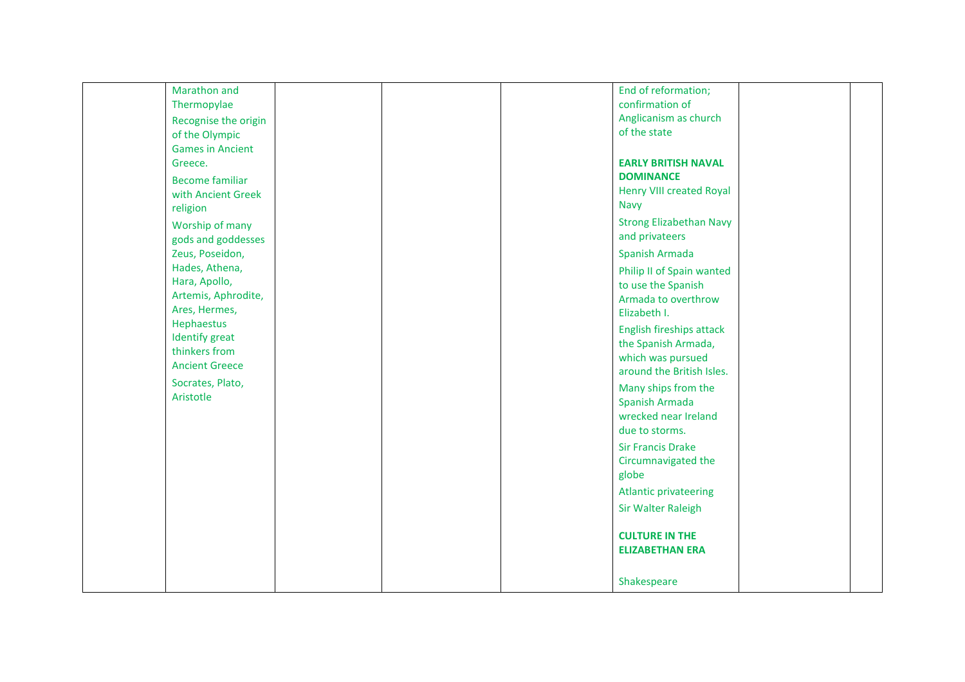| Marathon and            |  | End of reformation;             |  |
|-------------------------|--|---------------------------------|--|
| Thermopylae             |  | confirmation of                 |  |
| Recognise the origin    |  | Anglicanism as church           |  |
| of the Olympic          |  | of the state                    |  |
| <b>Games in Ancient</b> |  |                                 |  |
| Greece.                 |  | <b>EARLY BRITISH NAVAL</b>      |  |
| <b>Become familiar</b>  |  | <b>DOMINANCE</b>                |  |
| with Ancient Greek      |  | <b>Henry VIII created Royal</b> |  |
| religion                |  | Navy                            |  |
|                         |  | <b>Strong Elizabethan Navy</b>  |  |
| Worship of many         |  | and privateers                  |  |
| gods and goddesses      |  |                                 |  |
| Zeus, Poseidon,         |  | Spanish Armada                  |  |
| Hades, Athena,          |  | Philip II of Spain wanted       |  |
| Hara, Apollo,           |  | to use the Spanish              |  |
| Artemis, Aphrodite,     |  | Armada to overthrow             |  |
| Ares, Hermes,           |  | Elizabeth I.                    |  |
| Hephaestus              |  | English fireships attack        |  |
| <b>Identify</b> great   |  | the Spanish Armada,             |  |
| thinkers from           |  | which was pursued               |  |
| <b>Ancient Greece</b>   |  | around the British Isles.       |  |
| Socrates, Plato,        |  | Many ships from the             |  |
| Aristotle               |  | Spanish Armada                  |  |
|                         |  | wrecked near Ireland            |  |
|                         |  | due to storms.                  |  |
|                         |  | <b>Sir Francis Drake</b>        |  |
|                         |  | Circumnavigated the             |  |
|                         |  | globe                           |  |
|                         |  |                                 |  |
|                         |  | <b>Atlantic privateering</b>    |  |
|                         |  | Sir Walter Raleigh              |  |
|                         |  | <b>CULTURE IN THE</b>           |  |
|                         |  | <b>ELIZABETHAN ERA</b>          |  |
|                         |  | Shakespeare                     |  |
|                         |  |                                 |  |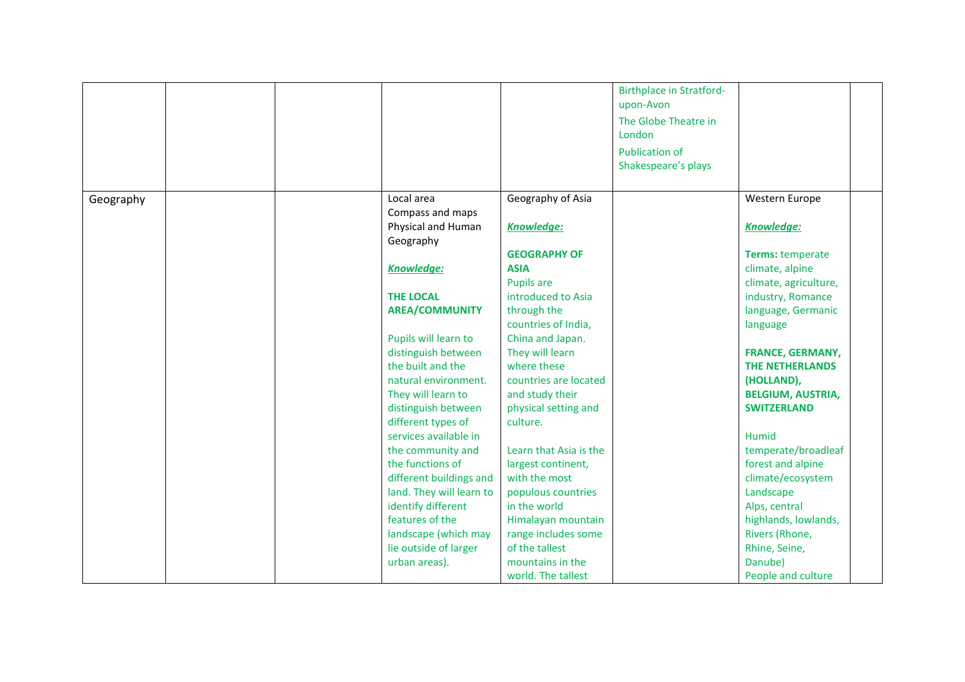|           |                          |                        | <b>Birthplace in Stratford-</b> |                          |  |
|-----------|--------------------------|------------------------|---------------------------------|--------------------------|--|
|           |                          |                        | upon-Avon                       |                          |  |
|           |                          |                        | The Globe Theatre in            |                          |  |
|           |                          |                        | London                          |                          |  |
|           |                          |                        | <b>Publication of</b>           |                          |  |
|           |                          |                        | Shakespeare's plays             |                          |  |
|           |                          |                        |                                 |                          |  |
| Geography | Local area               | Geography of Asia      |                                 | Western Europe           |  |
|           | Compass and maps         |                        |                                 |                          |  |
|           | Physical and Human       | <b>Knowledge:</b>      |                                 | <b>Knowledge:</b>        |  |
|           | Geography                |                        |                                 |                          |  |
|           |                          | <b>GEOGRAPHY OF</b>    |                                 | Terms: temperate         |  |
|           | Knowledge:               | <b>ASIA</b>            |                                 | climate, alpine          |  |
|           |                          | <b>Pupils are</b>      |                                 | climate, agriculture,    |  |
|           | <b>THE LOCAL</b>         | introduced to Asia     |                                 | industry, Romance        |  |
|           | <b>AREA/COMMUNITY</b>    | through the            |                                 | language, Germanic       |  |
|           |                          | countries of India,    |                                 | language                 |  |
|           | Pupils will learn to     | China and Japan.       |                                 |                          |  |
|           | distinguish between      | They will learn        |                                 | <b>FRANCE, GERMANY,</b>  |  |
|           | the built and the        | where these            |                                 | <b>THE NETHERLANDS</b>   |  |
|           | natural environment.     | countries are located  |                                 | (HOLLAND),               |  |
|           | They will learn to       | and study their        |                                 | <b>BELGIUM, AUSTRIA,</b> |  |
|           | distinguish between      | physical setting and   |                                 | <b>SWITZERLAND</b>       |  |
|           | different types of       | culture.               |                                 |                          |  |
|           | services available in    |                        |                                 | Humid                    |  |
|           | the community and        | Learn that Asia is the |                                 | temperate/broadleaf      |  |
|           | the functions of         | largest continent,     |                                 | forest and alpine        |  |
|           | different buildings and  | with the most          |                                 | climate/ecosystem        |  |
|           | land. They will learn to | populous countries     |                                 | Landscape                |  |
|           | identify different       | in the world           |                                 | Alps, central            |  |
|           | features of the          | Himalayan mountain     |                                 | highlands, lowlands,     |  |
|           | landscape (which may     | range includes some    |                                 | Rivers (Rhone,           |  |
|           | lie outside of larger    | of the tallest         |                                 | Rhine, Seine,            |  |
|           | urban areas).            | mountains in the       |                                 | Danube)                  |  |
|           |                          | world. The tallest     |                                 | People and culture       |  |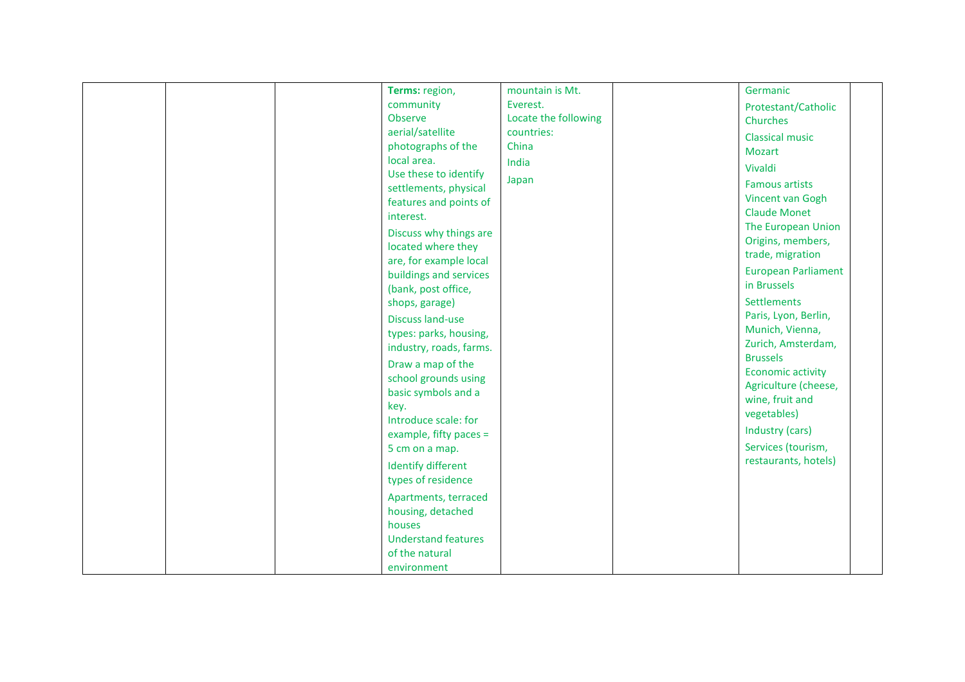|  | Terms: region,<br>community                                                                                                                                                                                                                                                                                                                                                                                                                                                                                                                                                                            | mountain is Mt.<br>Everest.           | Germanic                                                                                                                                                                                                                                                                                                                                                                                                                                                                              |  |
|--|--------------------------------------------------------------------------------------------------------------------------------------------------------------------------------------------------------------------------------------------------------------------------------------------------------------------------------------------------------------------------------------------------------------------------------------------------------------------------------------------------------------------------------------------------------------------------------------------------------|---------------------------------------|---------------------------------------------------------------------------------------------------------------------------------------------------------------------------------------------------------------------------------------------------------------------------------------------------------------------------------------------------------------------------------------------------------------------------------------------------------------------------------------|--|
|  | Observe                                                                                                                                                                                                                                                                                                                                                                                                                                                                                                                                                                                                | Locate the following                  | Protestant/Catholic<br>Churches                                                                                                                                                                                                                                                                                                                                                                                                                                                       |  |
|  | aerial/satellite<br>photographs of the<br>local area.<br>Use these to identify<br>settlements, physical<br>features and points of<br>interest.<br>Discuss why things are<br>located where they<br>are, for example local<br>buildings and services<br>(bank, post office,<br>shops, garage)<br><b>Discuss land-use</b><br>types: parks, housing,<br>industry, roads, farms.<br>Draw a map of the<br>school grounds using<br>basic symbols and a<br>key.<br>Introduce scale: for<br>example, fifty paces =<br>5 cm on a map.<br><b>Identify different</b><br>types of residence<br>Apartments, terraced | countries:<br>China<br>India<br>Japan | <b>Classical music</b><br>Mozart<br>Vivaldi<br><b>Famous artists</b><br>Vincent van Gogh<br><b>Claude Monet</b><br>The European Union<br>Origins, members,<br>trade, migration<br><b>European Parliament</b><br>in Brussels<br>Settlements<br>Paris, Lyon, Berlin,<br>Munich, Vienna,<br>Zurich, Amsterdam,<br><b>Brussels</b><br><b>Economic activity</b><br>Agriculture (cheese,<br>wine, fruit and<br>vegetables)<br>Industry (cars)<br>Services (tourism,<br>restaurants, hotels) |  |
|  | housing, detached<br>houses<br><b>Understand features</b>                                                                                                                                                                                                                                                                                                                                                                                                                                                                                                                                              |                                       |                                                                                                                                                                                                                                                                                                                                                                                                                                                                                       |  |
|  | of the natural<br>environment                                                                                                                                                                                                                                                                                                                                                                                                                                                                                                                                                                          |                                       |                                                                                                                                                                                                                                                                                                                                                                                                                                                                                       |  |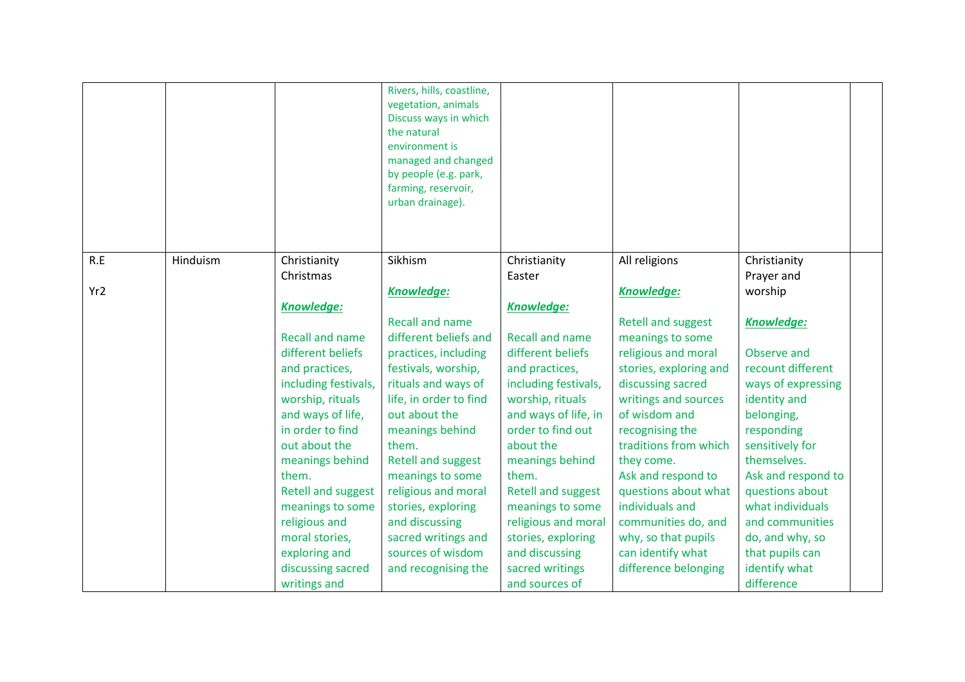|                 |          |                           | Rivers, hills, coastline,<br>vegetation, animals<br>Discuss ways in which<br>the natural<br>environment is<br>managed and changed<br>by people (e.g. park,<br>farming, reservoir,<br>urban drainage). |                           |                           |                    |  |
|-----------------|----------|---------------------------|-------------------------------------------------------------------------------------------------------------------------------------------------------------------------------------------------------|---------------------------|---------------------------|--------------------|--|
| R.E             | Hinduism | Christianity              | Sikhism                                                                                                                                                                                               | Christianity              | All religions             | Christianity       |  |
|                 |          | Christmas                 |                                                                                                                                                                                                       | Easter                    |                           | Prayer and         |  |
| Yr <sub>2</sub> |          |                           | <b>Knowledge:</b>                                                                                                                                                                                     |                           | Knowledge:                | worship            |  |
|                 |          | Knowledge:                |                                                                                                                                                                                                       | <b>Knowledge:</b>         |                           |                    |  |
|                 |          |                           | <b>Recall and name</b>                                                                                                                                                                                |                           | <b>Retell and suggest</b> | <b>Knowledge:</b>  |  |
|                 |          | <b>Recall and name</b>    | different beliefs and                                                                                                                                                                                 | <b>Recall and name</b>    | meanings to some          |                    |  |
|                 |          | different beliefs         | practices, including                                                                                                                                                                                  | different beliefs         | religious and moral       | Observe and        |  |
|                 |          | and practices,            | festivals, worship,                                                                                                                                                                                   | and practices,            | stories, exploring and    | recount different  |  |
|                 |          | including festivals,      | rituals and ways of                                                                                                                                                                                   | including festivals,      | discussing sacred         | ways of expressing |  |
|                 |          | worship, rituals          | life, in order to find                                                                                                                                                                                | worship, rituals          | writings and sources      | identity and       |  |
|                 |          | and ways of life,         | out about the                                                                                                                                                                                         | and ways of life, in      | of wisdom and             | belonging,         |  |
|                 |          | in order to find          | meanings behind                                                                                                                                                                                       | order to find out         | recognising the           | responding         |  |
|                 |          | out about the             | them.                                                                                                                                                                                                 | about the                 | traditions from which     | sensitively for    |  |
|                 |          | meanings behind           | <b>Retell and suggest</b>                                                                                                                                                                             | meanings behind           | they come.                | themselves.        |  |
|                 |          | them.                     | meanings to some                                                                                                                                                                                      | them.                     | Ask and respond to        | Ask and respond to |  |
|                 |          | <b>Retell and suggest</b> | religious and moral                                                                                                                                                                                   | <b>Retell and suggest</b> | questions about what      | questions about    |  |
|                 |          | meanings to some          | stories, exploring                                                                                                                                                                                    | meanings to some          | individuals and           | what individuals   |  |
|                 |          | religious and             | and discussing                                                                                                                                                                                        | religious and moral       | communities do, and       | and communities    |  |
|                 |          | moral stories,            | sacred writings and                                                                                                                                                                                   | stories, exploring        | why, so that pupils       | do, and why, so    |  |
|                 |          | exploring and             | sources of wisdom                                                                                                                                                                                     | and discussing            | can identify what         | that pupils can    |  |
|                 |          | discussing sacred         | and recognising the                                                                                                                                                                                   | sacred writings           | difference belonging      | identify what      |  |
|                 |          | writings and              |                                                                                                                                                                                                       | and sources of            |                           | difference         |  |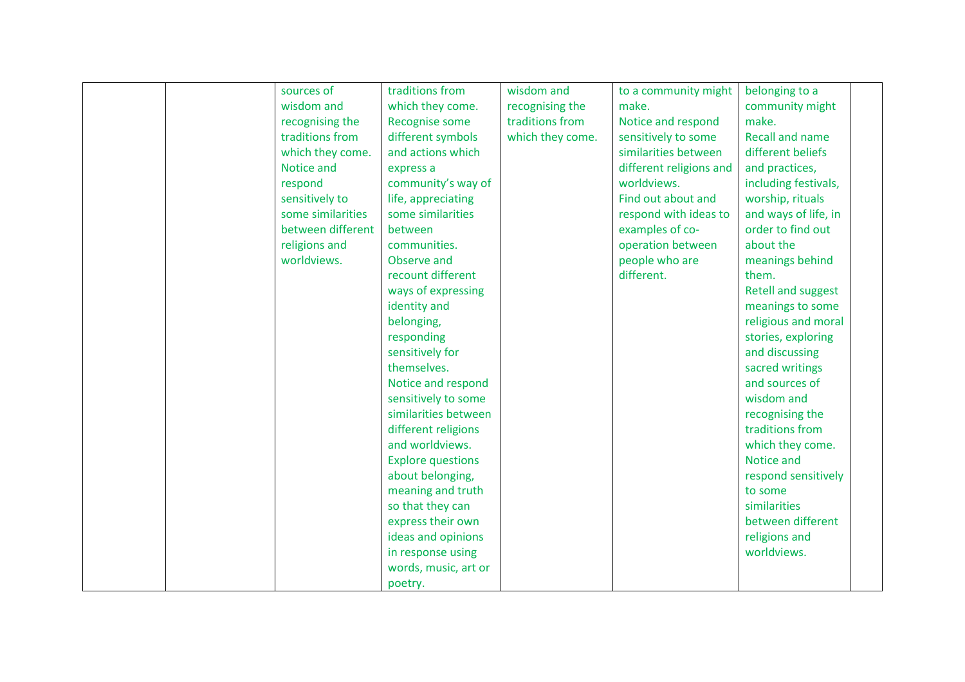| sources of        | traditions from          | wisdom and       | to a community might    | belonging to a         |  |
|-------------------|--------------------------|------------------|-------------------------|------------------------|--|
| wisdom and        | which they come.         | recognising the  | make.                   | community might        |  |
| recognising the   | Recognise some           | traditions from  | Notice and respond      | make.                  |  |
| traditions from   | different symbols        | which they come. | sensitively to some     | <b>Recall and name</b> |  |
| which they come.  | and actions which        |                  | similarities between    | different beliefs      |  |
| Notice and        | express a                |                  | different religions and | and practices,         |  |
| respond           | community's way of       |                  | worldviews.             | including festivals,   |  |
| sensitively to    | life, appreciating       |                  | Find out about and      | worship, rituals       |  |
| some similarities | some similarities        |                  | respond with ideas to   | and ways of life, in   |  |
| between different | between                  |                  | examples of co-         | order to find out      |  |
| religions and     | communities.             |                  | operation between       | about the              |  |
| worldviews.       | Observe and              |                  | people who are          | meanings behind        |  |
|                   | recount different        |                  | different.              | them.                  |  |
|                   | ways of expressing       |                  |                         | Retell and suggest     |  |
|                   | identity and             |                  |                         | meanings to some       |  |
|                   | belonging,               |                  |                         | religious and moral    |  |
|                   | responding               |                  |                         | stories, exploring     |  |
|                   | sensitively for          |                  |                         | and discussing         |  |
|                   | themselves.              |                  |                         | sacred writings        |  |
|                   | Notice and respond       |                  |                         | and sources of         |  |
|                   | sensitively to some      |                  |                         | wisdom and             |  |
|                   | similarities between     |                  |                         | recognising the        |  |
|                   | different religions      |                  |                         | traditions from        |  |
|                   | and worldviews.          |                  |                         | which they come.       |  |
|                   | <b>Explore questions</b> |                  |                         | Notice and             |  |
|                   | about belonging,         |                  |                         | respond sensitively    |  |
|                   | meaning and truth        |                  |                         | to some                |  |
|                   | so that they can         |                  |                         | similarities           |  |
|                   | express their own        |                  |                         | between different      |  |
|                   | ideas and opinions       |                  |                         | religions and          |  |
|                   | in response using        |                  |                         | worldviews.            |  |
|                   | words, music, art or     |                  |                         |                        |  |
|                   | poetry.                  |                  |                         |                        |  |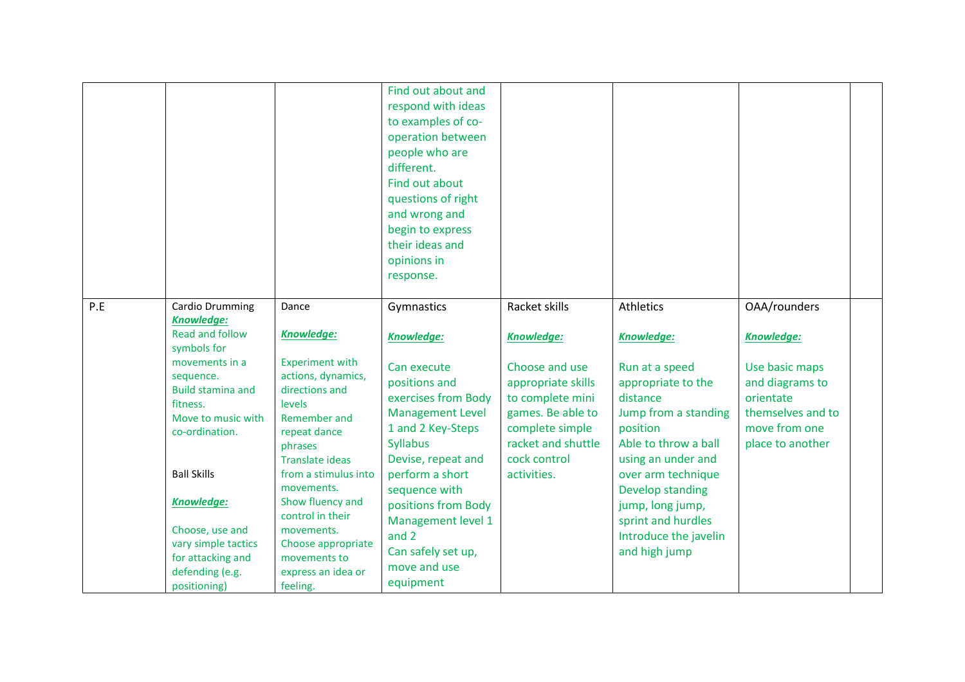|     |                                                                                                                                                                                                                                                                                                                                           |                                                                                                                                                                                                                                                                                                                                                 | Find out about and<br>respond with ideas<br>to examples of co-<br>operation between<br>people who are<br>different.<br>Find out about<br>questions of right<br>and wrong and<br>begin to express<br>their ideas and<br>opinions in<br>response.                                                                         |                                                                                                                                                                                             |                                                                                                                                                                                                                                                                                                           |                                                                                                                                               |  |
|-----|-------------------------------------------------------------------------------------------------------------------------------------------------------------------------------------------------------------------------------------------------------------------------------------------------------------------------------------------|-------------------------------------------------------------------------------------------------------------------------------------------------------------------------------------------------------------------------------------------------------------------------------------------------------------------------------------------------|-------------------------------------------------------------------------------------------------------------------------------------------------------------------------------------------------------------------------------------------------------------------------------------------------------------------------|---------------------------------------------------------------------------------------------------------------------------------------------------------------------------------------------|-----------------------------------------------------------------------------------------------------------------------------------------------------------------------------------------------------------------------------------------------------------------------------------------------------------|-----------------------------------------------------------------------------------------------------------------------------------------------|--|
| P.E | Cardio Drumming<br><b>Knowledge:</b><br><b>Read and follow</b><br>symbols for<br>movements in a<br>sequence.<br><b>Build stamina and</b><br>fitness.<br>Move to music with<br>co-ordination.<br><b>Ball Skills</b><br><b>Knowledge:</b><br>Choose, use and<br>vary simple tactics<br>for attacking and<br>defending (e.g.<br>positioning) | Dance<br><b>Knowledge:</b><br><b>Experiment with</b><br>actions, dynamics,<br>directions and<br>levels<br>Remember and<br>repeat dance<br>phrases<br><b>Translate ideas</b><br>from a stimulus into<br>movements.<br>Show fluency and<br>control in their<br>movements.<br>Choose appropriate<br>movements to<br>express an idea or<br>feeling. | Gymnastics<br>Knowledge:<br>Can execute<br>positions and<br>exercises from Body<br><b>Management Level</b><br>1 and 2 Key-Steps<br><b>Syllabus</b><br>Devise, repeat and<br>perform a short<br>sequence with<br>positions from Body<br>Management level 1<br>and $2$<br>Can safely set up,<br>move and use<br>equipment | Racket skills<br><b>Knowledge:</b><br>Choose and use<br>appropriate skills<br>to complete mini<br>games. Be able to<br>complete simple<br>racket and shuttle<br>cock control<br>activities. | Athletics<br><b>Knowledge:</b><br>Run at a speed<br>appropriate to the<br>distance<br>Jump from a standing<br>position<br>Able to throw a ball<br>using an under and<br>over arm technique<br><b>Develop standing</b><br>jump, long jump,<br>sprint and hurdles<br>Introduce the javelin<br>and high jump | OAA/rounders<br><b>Knowledge:</b><br>Use basic maps<br>and diagrams to<br>orientate<br>themselves and to<br>move from one<br>place to another |  |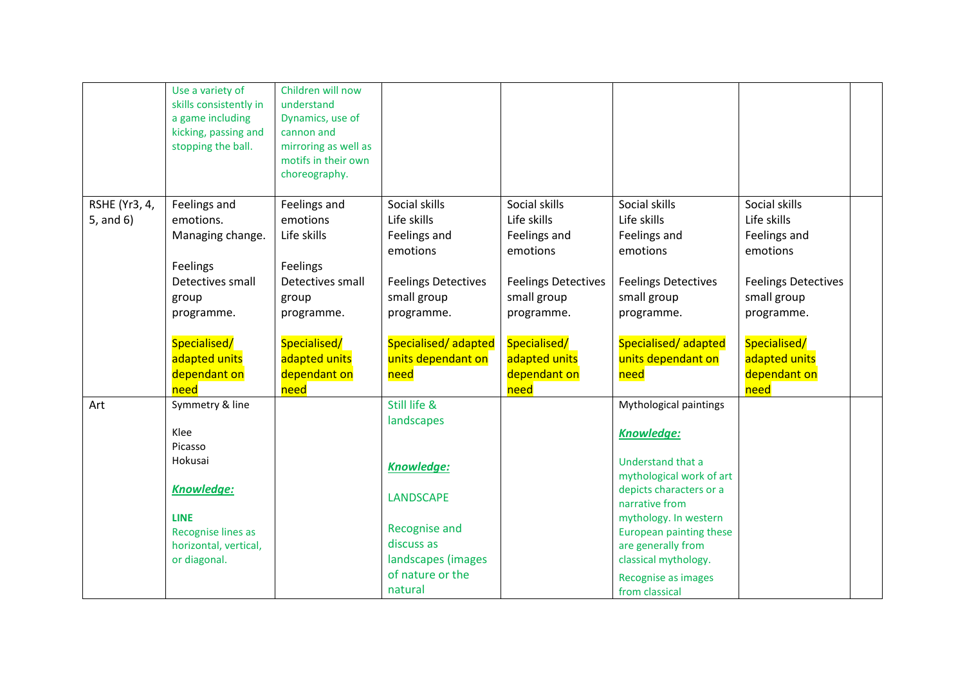|               | Use a variety of<br>skills consistently in<br>a game including<br>kicking, passing and<br>stopping the ball. | Children will now<br>understand<br>Dynamics, use of<br>cannon and<br>mirroring as well as |                            |                            |                                               |                            |  |
|---------------|--------------------------------------------------------------------------------------------------------------|-------------------------------------------------------------------------------------------|----------------------------|----------------------------|-----------------------------------------------|----------------------------|--|
|               |                                                                                                              | motifs in their own                                                                       |                            |                            |                                               |                            |  |
|               |                                                                                                              | choreography.                                                                             |                            |                            |                                               |                            |  |
| RSHE (Yr3, 4, | Feelings and                                                                                                 | Feelings and                                                                              | Social skills              | Social skills              | Social skills                                 | Social skills              |  |
| 5, and 6)     | emotions.                                                                                                    | emotions                                                                                  | Life skills                | Life skills                | Life skills                                   | Life skills                |  |
|               | Managing change.                                                                                             | Life skills                                                                               | Feelings and<br>emotions   | Feelings and<br>emotions   | Feelings and<br>emotions                      | Feelings and<br>emotions   |  |
|               | Feelings                                                                                                     | Feelings                                                                                  |                            |                            |                                               |                            |  |
|               | Detectives small                                                                                             | Detectives small                                                                          | <b>Feelings Detectives</b> | <b>Feelings Detectives</b> | <b>Feelings Detectives</b>                    | <b>Feelings Detectives</b> |  |
|               | group                                                                                                        | group                                                                                     | small group                | small group                | small group                                   | small group                |  |
|               | programme.                                                                                                   | programme.                                                                                | programme.                 | programme.                 | programme.                                    | programme.                 |  |
|               | Specialised/                                                                                                 | Specialised/                                                                              | Specialised/adapted        | Specialised/               | Specialised/adapted                           | Specialised/               |  |
|               | adapted units                                                                                                | adapted units                                                                             | units dependant on         | adapted units              | units dependant on                            | adapted units              |  |
|               | dependant on                                                                                                 | dependant on                                                                              | need                       | dependant on               | need                                          | dependant on               |  |
|               | need                                                                                                         | need                                                                                      |                            | need                       |                                               | need                       |  |
| Art           | Symmetry & line                                                                                              |                                                                                           | Still life &               |                            | Mythological paintings                        |                            |  |
|               | Klee                                                                                                         |                                                                                           | landscapes                 |                            | <b>Knowledge:</b>                             |                            |  |
|               | Picasso                                                                                                      |                                                                                           |                            |                            |                                               |                            |  |
|               | Hokusai                                                                                                      |                                                                                           | <b>Knowledge:</b>          |                            | Understand that a                             |                            |  |
|               |                                                                                                              |                                                                                           |                            |                            | mythological work of art                      |                            |  |
|               | <b>Knowledge:</b>                                                                                            |                                                                                           | <b>LANDSCAPE</b>           |                            | depicts characters or a                       |                            |  |
|               |                                                                                                              |                                                                                           |                            |                            | narrative from                                |                            |  |
|               | <b>LINE</b>                                                                                                  |                                                                                           | <b>Recognise and</b>       |                            | mythology. In western                         |                            |  |
|               | <b>Recognise lines as</b><br>horizontal, vertical,                                                           |                                                                                           | discuss as                 |                            | European painting these<br>are generally from |                            |  |
|               | or diagonal.                                                                                                 |                                                                                           | landscapes (images         |                            | classical mythology.                          |                            |  |
|               |                                                                                                              |                                                                                           | of nature or the           |                            | Recognise as images                           |                            |  |
|               |                                                                                                              |                                                                                           | natural                    |                            | from classical                                |                            |  |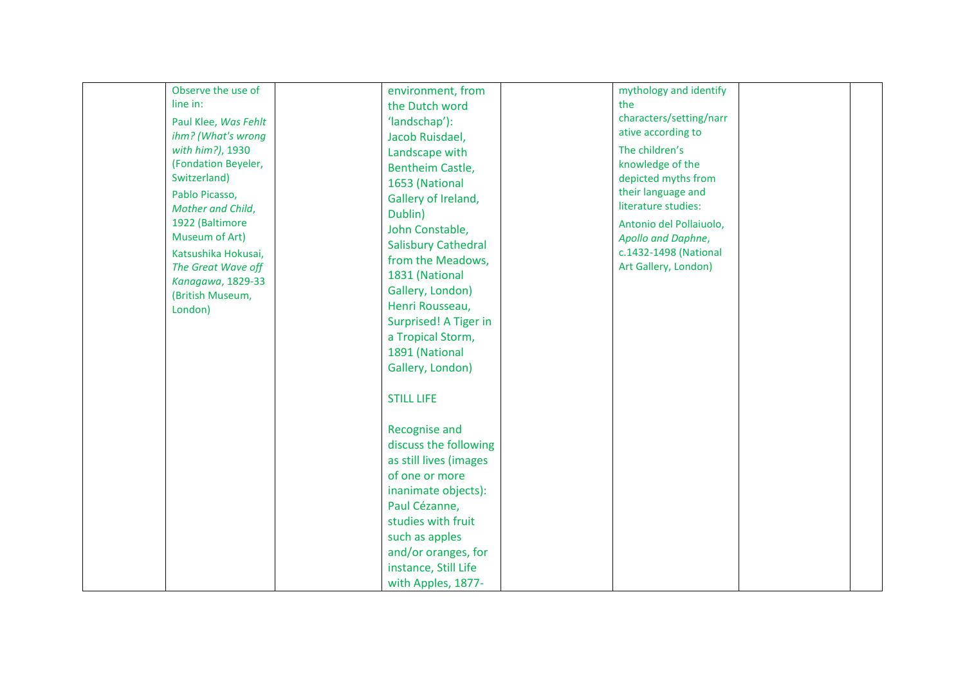| Observe the use of   | environment, from          | mythology and identify                    |
|----------------------|----------------------------|-------------------------------------------|
| line in:             | the Dutch word             | the                                       |
|                      | 'landschap'):              | characters/setting/narr                   |
| Paul Klee, Was Fehlt |                            | ative according to                        |
| ihm? (What's wrong   | Jacob Ruisdael,            |                                           |
| with him?), 1930     | Landscape with             | The children's                            |
| (Fondation Beyeler,  | Bentheim Castle,           | knowledge of the                          |
| Switzerland)         | 1653 (National             | depicted myths from                       |
| Pablo Picasso,       | Gallery of Ireland,        | their language and<br>literature studies: |
| Mother and Child,    | Dublin)                    |                                           |
| 1922 (Baltimore      | John Constable,            | Antonio del Pollaiuolo,                   |
| Museum of Art)       | <b>Salisbury Cathedral</b> | Apollo and Daphne,                        |
| Katsushika Hokusai,  | from the Meadows,          | c.1432-1498 (National                     |
| The Great Wave off   | 1831 (National             | Art Gallery, London)                      |
| Kanagawa, 1829-33    | Gallery, London)           |                                           |
| (British Museum,     | Henri Rousseau,            |                                           |
| London)              |                            |                                           |
|                      | Surprised! A Tiger in      |                                           |
|                      | a Tropical Storm,          |                                           |
|                      | 1891 (National             |                                           |
|                      | Gallery, London)           |                                           |
|                      | <b>STILL LIFE</b>          |                                           |
|                      |                            |                                           |
|                      | Recognise and              |                                           |
|                      | discuss the following      |                                           |
|                      | as still lives (images     |                                           |
|                      | of one or more             |                                           |
|                      | inanimate objects):        |                                           |
|                      | Paul Cézanne,              |                                           |
|                      | studies with fruit         |                                           |
|                      | such as apples             |                                           |
|                      | and/or oranges, for        |                                           |
|                      |                            |                                           |
|                      | instance, Still Life       |                                           |
|                      | with Apples, 1877-         |                                           |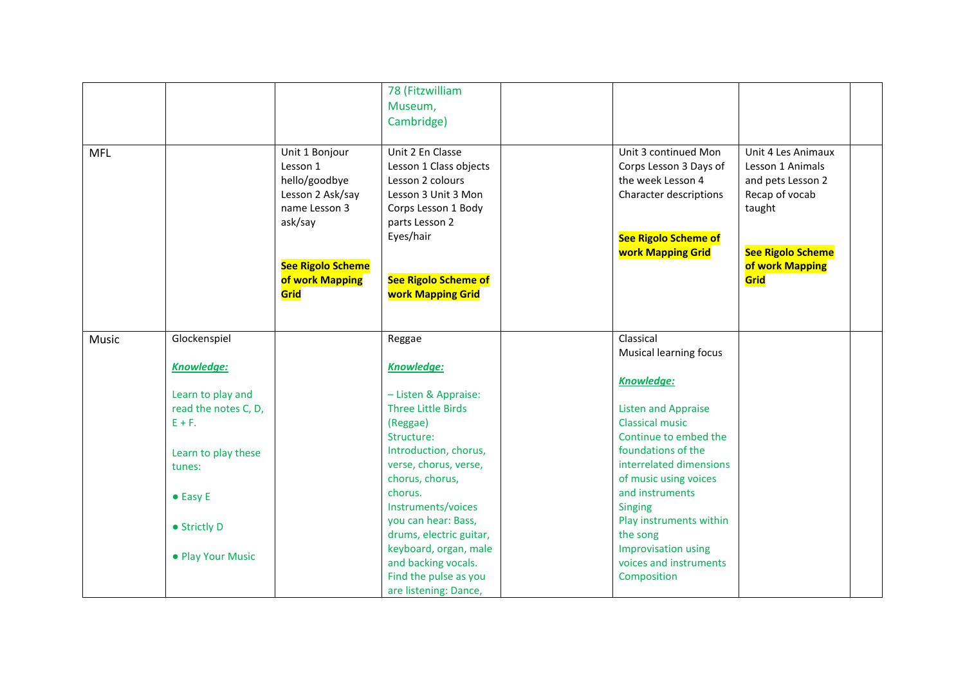|            |                      |                                                                                                                                                    | 78 (Fitzwilliam<br>Museum,<br>Cambridge)                                                                                                                                                               |                                                                                                                                                          |                                                                                                                                                |
|------------|----------------------|----------------------------------------------------------------------------------------------------------------------------------------------------|--------------------------------------------------------------------------------------------------------------------------------------------------------------------------------------------------------|----------------------------------------------------------------------------------------------------------------------------------------------------------|------------------------------------------------------------------------------------------------------------------------------------------------|
| <b>MFL</b> |                      | Unit 1 Bonjour<br>Lesson 1<br>hello/goodbye<br>Lesson 2 Ask/say<br>name Lesson 3<br>ask/say<br><b>See Rigolo Scheme</b><br>of work Mapping<br>Grid | Unit 2 En Classe<br>Lesson 1 Class objects<br>Lesson 2 colours<br>Lesson 3 Unit 3 Mon<br>Corps Lesson 1 Body<br>parts Lesson 2<br>Eyes/hair<br><b>See Rigolo Scheme of</b><br><b>work Mapping Grid</b> | Unit 3 continued Mon<br>Corps Lesson 3 Days of<br>the week Lesson 4<br>Character descriptions<br><b>See Rigolo Scheme of</b><br><b>work Mapping Grid</b> | Unit 4 Les Animaux<br>Lesson 1 Animals<br>and pets Lesson 2<br>Recap of vocab<br>taught<br><b>See Rigolo Scheme</b><br>of work Mapping<br>Grid |
| Music      | Glockenspiel         |                                                                                                                                                    | Reggae                                                                                                                                                                                                 | Classical<br>Musical learning focus                                                                                                                      |                                                                                                                                                |
|            | <b>Knowledge:</b>    |                                                                                                                                                    | <b>Knowledge:</b>                                                                                                                                                                                      | Knowledge:                                                                                                                                               |                                                                                                                                                |
|            | Learn to play and    |                                                                                                                                                    | - Listen & Appraise:                                                                                                                                                                                   |                                                                                                                                                          |                                                                                                                                                |
|            | read the notes C, D, |                                                                                                                                                    | <b>Three Little Birds</b>                                                                                                                                                                              | <b>Listen and Appraise</b>                                                                                                                               |                                                                                                                                                |
|            | $E + F$ .            |                                                                                                                                                    | (Reggae)                                                                                                                                                                                               | <b>Classical music</b>                                                                                                                                   |                                                                                                                                                |
|            |                      |                                                                                                                                                    | Structure:                                                                                                                                                                                             | Continue to embed the                                                                                                                                    |                                                                                                                                                |
|            | Learn to play these  |                                                                                                                                                    | Introduction, chorus,                                                                                                                                                                                  | foundations of the                                                                                                                                       |                                                                                                                                                |
|            | tunes:               |                                                                                                                                                    | verse, chorus, verse,                                                                                                                                                                                  | interrelated dimensions                                                                                                                                  |                                                                                                                                                |
|            |                      |                                                                                                                                                    | chorus, chorus,                                                                                                                                                                                        | of music using voices                                                                                                                                    |                                                                                                                                                |
|            | $\bullet$ Easy E     |                                                                                                                                                    | chorus.                                                                                                                                                                                                | and instruments                                                                                                                                          |                                                                                                                                                |
|            |                      |                                                                                                                                                    | Instruments/voices                                                                                                                                                                                     | <b>Singing</b>                                                                                                                                           |                                                                                                                                                |
|            | • Strictly D         |                                                                                                                                                    | you can hear: Bass,                                                                                                                                                                                    | Play instruments within                                                                                                                                  |                                                                                                                                                |
|            |                      |                                                                                                                                                    | drums, electric guitar,<br>keyboard, organ, male                                                                                                                                                       | the song<br><b>Improvisation using</b>                                                                                                                   |                                                                                                                                                |
|            | • Play Your Music    |                                                                                                                                                    | and backing vocals.                                                                                                                                                                                    | voices and instruments                                                                                                                                   |                                                                                                                                                |
|            |                      |                                                                                                                                                    | Find the pulse as you                                                                                                                                                                                  | Composition                                                                                                                                              |                                                                                                                                                |
|            |                      |                                                                                                                                                    | are listening: Dance,                                                                                                                                                                                  |                                                                                                                                                          |                                                                                                                                                |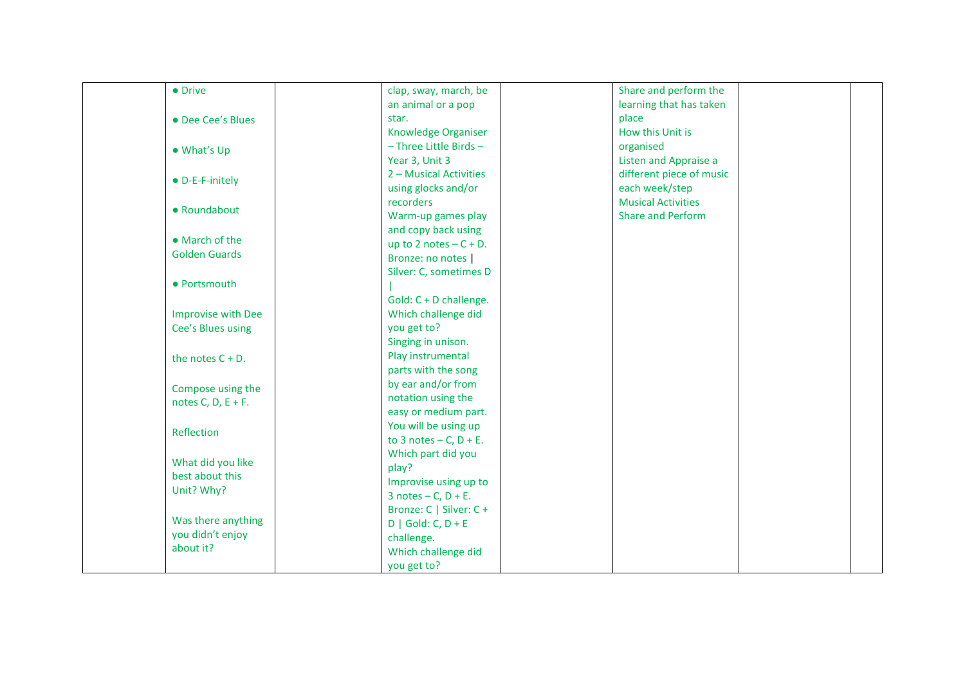|  | • Drive                   | clap, sway, march, be        | Share and perform the     |  |
|--|---------------------------|------------------------------|---------------------------|--|
|  |                           | an animal or a pop           | learning that has taken   |  |
|  | • Dee Cee's Blues         | star.                        | place                     |  |
|  |                           | Knowledge Organiser          | How this Unit is          |  |
|  | • What's Up               | - Three Little Birds-        | organised                 |  |
|  |                           | Year 3, Unit 3               | Listen and Appraise a     |  |
|  | • D-E-F-initely           | 2 – Musical Activities       | different piece of music  |  |
|  |                           | using glocks and/or          | each week/step            |  |
|  |                           | recorders                    | <b>Musical Activities</b> |  |
|  | • Roundabout              | Warm-up games play           | <b>Share and Perform</b>  |  |
|  |                           | and copy back using          |                           |  |
|  | • March of the            | up to 2 notes $-C + D$ .     |                           |  |
|  | <b>Golden Guards</b>      | Bronze: no notes             |                           |  |
|  |                           | Silver: C, sometimes D       |                           |  |
|  | • Portsmouth              |                              |                           |  |
|  |                           | Gold: C + D challenge.       |                           |  |
|  | <b>Improvise with Dee</b> | Which challenge did          |                           |  |
|  | Cee's Blues using         | you get to?                  |                           |  |
|  |                           | Singing in unison.           |                           |  |
|  | the notes $C + D$ .       | Play instrumental            |                           |  |
|  |                           | parts with the song          |                           |  |
|  | Compose using the         | by ear and/or from           |                           |  |
|  | notes C, D, $E + F$ .     | notation using the           |                           |  |
|  |                           | easy or medium part.         |                           |  |
|  |                           | You will be using up         |                           |  |
|  | Reflection                | to 3 notes $- C$ , $D + E$ . |                           |  |
|  |                           | Which part did you           |                           |  |
|  | What did you like         | play?                        |                           |  |
|  | best about this           | Improvise using up to        |                           |  |
|  | Unit? Why?                | $3$ notes $- C$ , $D + E$ .  |                           |  |
|  |                           | Bronze: C   Silver: C +      |                           |  |
|  | Was there anything        | $D   Gold: C, D + E$         |                           |  |
|  | you didn't enjoy          | challenge.                   |                           |  |
|  | about it?                 | Which challenge did          |                           |  |
|  |                           | you get to?                  |                           |  |
|  |                           |                              |                           |  |